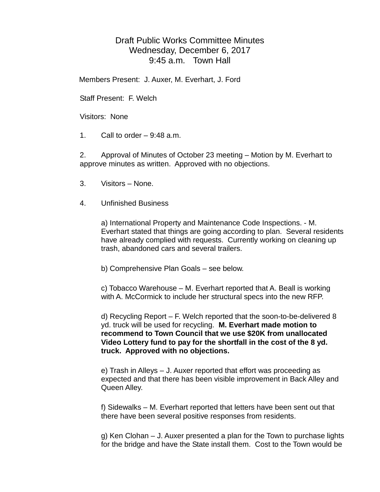## Draft Public Works Committee Minutes Wednesday, December 6, 2017 9:45 a.m. Town Hall

Members Present: J. Auxer, M. Everhart, J. Ford

Staff Present: F. Welch

Visitors: None

1. Call to order  $-9:48$  a.m.

2. Approval of Minutes of October 23 meeting – Motion by M. Everhart to approve minutes as written. Approved with no objections.

- 3. Visitors None.
- 4. Unfinished Business

a) International Property and Maintenance Code Inspections. - M. Everhart stated that things are going according to plan. Several residents have already complied with requests. Currently working on cleaning up trash, abandoned cars and several trailers.

b) Comprehensive Plan Goals – see below.

c) Tobacco Warehouse – M. Everhart reported that A. Beall is working with A. McCormick to include her structural specs into the new RFP.

d) Recycling Report – F. Welch reported that the soon-to-be-delivered 8 yd. truck will be used for recycling. **M. Everhart made motion to recommend to Town Council that we use \$20K from unallocated Video Lottery fund to pay for the shortfall in the cost of the 8 yd. truck. Approved with no objections.**

e) Trash in Alleys – J. Auxer reported that effort was proceeding as expected and that there has been visible improvement in Back Alley and Queen Alley.

f) Sidewalks – M. Everhart reported that letters have been sent out that there have been several positive responses from residents.

g) Ken Clohan – J. Auxer presented a plan for the Town to purchase lights for the bridge and have the State install them. Cost to the Town would be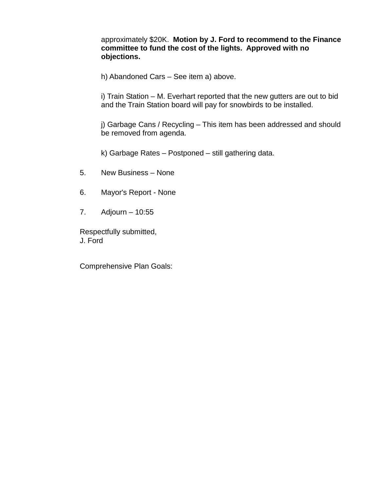approximately \$20K. **Motion by J. Ford to recommend to the Finance committee to fund the cost of the lights. Approved with no objections.**

h) Abandoned Cars – See item a) above.

i) Train Station – M. Everhart reported that the new gutters are out to bid and the Train Station board will pay for snowbirds to be installed.

j) Garbage Cans / Recycling – This item has been addressed and should be removed from agenda.

k) Garbage Rates – Postponed – still gathering data.

- 5. New Business None
- 6. Mayor's Report None
- 7. Adjourn 10:55

Respectfully submitted, J. Ford

Comprehensive Plan Goals: